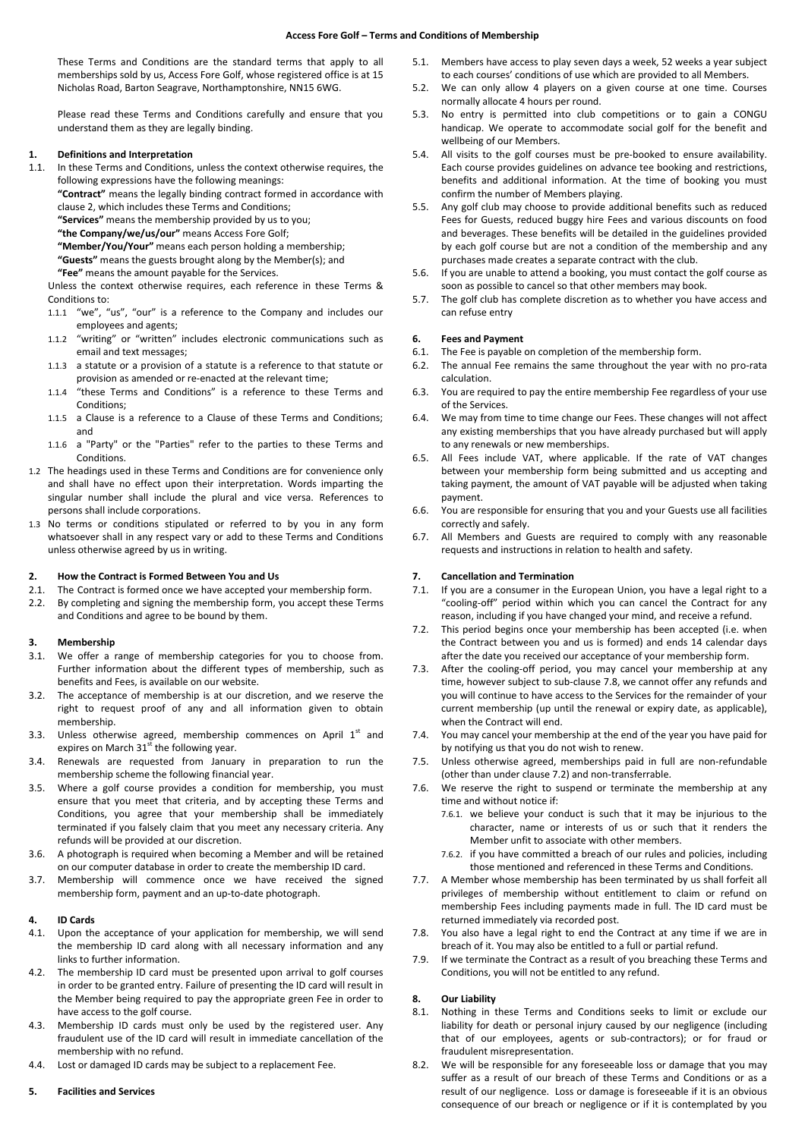These Terms and Conditions are the standard terms that apply to all memberships sold by us, Access Fore Golf, whose registered office is at 15 Nicholas Road, Barton Seagrave, Northamptonshire, NN15 6WG.

Please read these Terms and Conditions carefully and ensure that you understand them as they are legally binding.

# **1. Definitions and Interpretation**

In these Terms and Conditions, unless the context otherwise requires, the following expressions have the following meanings:

**"Contract"** means the legally binding contract formed in accordance with clause 2, which includes these Terms and Conditions;

**"Services"** means the membership provided by us to you;

**"the Company/we/us/our"** means Access Fore Golf;

**"Member/You/Your"** means each person holding a membership;

**"Guests"** means the guests brought along by the Member(s); and

**"Fee"** means the amount payable for the Services.

Unless the context otherwise requires, each reference in these Terms & Conditions to:

- 1.1.1 "we", "us", "our" is a reference to the Company and includes our employees and agents;
- 1.1.2 "writing" or "written" includes electronic communications such as email and text messages;
- 1.1.3 a statute or a provision of a statute is a reference to that statute or provision as amended or re-enacted at the relevant time;
- 1.1.4 "these Terms and Conditions" is a reference to these Terms and Conditions;
- 1.1.5 a Clause is a reference to a Clause of these Terms and Conditions; and
- 1.1.6 a "Party" or the "Parties" refer to the parties to these Terms and Conditions.
- 1.2 The headings used in these Terms and Conditions are for convenience only and shall have no effect upon their interpretation. Words imparting the singular number shall include the plural and vice versa. References to persons shall include corporations.
- 1.3 No terms or conditions stipulated or referred to by you in any form whatsoever shall in any respect vary or add to these Terms and Conditions unless otherwise agreed by us in writing.

#### **2. How the Contract is Formed Between You and Us**

- 2.1. The Contract is formed once we have accepted your membership form.
- 2.2. By completing and signing the membership form, you accept these Terms and Conditions and agree to be bound by them.

#### **3. Membership**

- 3.1. We offer a range of membership categories for you to choose from. Further information about the different types of membership, such as benefits and Fees, is available on our website.
- 3.2. The acceptance of membership is at our discretion, and we reserve the right to request proof of any and all information given to obtain membership.
- 3.3. Unless otherwise agreed, membership commences on April  $1<sup>st</sup>$  and expires on March  $31<sup>st</sup>$  the following year.
- 3.4. Renewals are requested from January in preparation to run the membership scheme the following financial year.
- 3.5. Where a golf course provides a condition for membership, you must ensure that you meet that criteria, and by accepting these Terms and Conditions, you agree that your membership shall be immediately terminated if you falsely claim that you meet any necessary criteria. Any refunds will be provided at our discretion.
- 3.6. A photograph is required when becoming a Member and will be retained on our computer database in order to create the membership ID card.
- 3.7. Membership will commence once we have received the signed membership form, payment and an up-to-date photograph.

#### **4. ID Cards**

- 4.1. Upon the acceptance of your application for membership, we will send the membership ID card along with all necessary information and any links to further information.
- 4.2. The membership ID card must be presented upon arrival to golf courses in order to be granted entry. Failure of presenting the ID card will result in the Member being required to pay the appropriate green Fee in order to have access to the golf course.
- 4.3. Membership ID cards must only be used by the registered user. Any fraudulent use of the ID card will result in immediate cancellation of the membership with no refund.
- 4.4. Lost or damaged ID cards may be subject to a replacement Fee.

## **5. Facilities and Services**

- 5.1. Members have access to play seven days a week, 52 weeks a year subject to each courses' conditions of use which are provided to all Members.
- 5.2. We can only allow 4 players on a given course at one time. Courses normally allocate 4 hours per round.
- 5.3. No entry is permitted into club competitions or to gain a CONGU handicap. We operate to accommodate social golf for the benefit and wellbeing of our Members.
- 5.4. All visits to the golf courses must be pre-booked to ensure availability. Each course provides guidelines on advance tee booking and restrictions, benefits and additional information. At the time of booking you must confirm the number of Members playing.
- 5.5. Any golf club may choose to provide additional benefits such as reduced Fees for Guests, reduced buggy hire Fees and various discounts on food and beverages. These benefits will be detailed in the guidelines provided by each golf course but are not a condition of the membership and any purchases made creates a separate contract with the club.
- 5.6. If you are unable to attend a booking, you must contact the golf course as soon as possible to cancel so that other members may book.
- 5.7. The golf club has complete discretion as to whether you have access and can refuse entry

# **6. Fees and Payment**

- 6.1. The Fee is payable on completion of the membership form.
- 6.2. The annual Fee remains the same throughout the year with no pro-rata calculation.
- 6.3. You are required to pay the entire membership Fee regardless of your use of the Services.
- 6.4. We may from time to time change our Fees. These changes will not affect any existing memberships that you have already purchased but will apply to any renewals or new memberships.
- 6.5. All Fees include VAT, where applicable. If the rate of VAT changes between your membership form being submitted and us accepting and taking payment, the amount of VAT payable will be adjusted when taking payment.
- 6.6. You are responsible for ensuring that you and your Guests use all facilities correctly and safely.
- 6.7. All Members and Guests are required to comply with any reasonable requests and instructions in relation to health and safety.

# **7. Cancellation and Termination**

- 7.1. If you are a consumer in the European Union, you have a legal right to a "cooling-off" period within which you can cancel the Contract for any reason, including if you have changed your mind, and receive a refund.
- 7.2. This period begins once your membership has been accepted (i.e. when the Contract between you and us is formed) and ends 14 calendar days after the date you received our acceptance of your membership form.
- 7.3. After the cooling-off period, you may cancel your membership at any time, however subject to sub-clause 7.8, we cannot offer any refunds and you will continue to have access to the Services for the remainder of your current membership (up until the renewal or expiry date, as applicable), when the Contract will end.
- 7.4. You may cancel your membership at the end of the year you have paid for by notifying us that you do not wish to renew.
- 7.5. Unless otherwise agreed, memberships paid in full are non-refundable (other than under clause 7.2) and non-transferrable.
- 7.6. We reserve the right to suspend or terminate the membership at any time and without notice if:
	- 7.6.1. we believe your conduct is such that it may be injurious to the character, name or interests of us or such that it renders the Member unfit to associate with other members.
	- 7.6.2. if you have committed a breach of our rules and policies, including those mentioned and referenced in these Terms and Conditions.
- 7.7. A Member whose membership has been terminated by us shall forfeit all privileges of membership without entitlement to claim or refund on membership Fees including payments made in full. The ID card must be returned immediately via recorded post.
- 7.8. You also have a legal right to end the Contract at any time if we are in breach of it. You may also be entitled to a full or partial refund.
- 7.9. If we terminate the Contract as a result of you breaching these Terms and Conditions, you will not be entitled to any refund.

## **8. Our Liability**

- 8.1. Nothing in these Terms and Conditions seeks to limit or exclude our liability for death or personal injury caused by our negligence (including that of our employees, agents or sub-contractors); or for fraud or fraudulent misrepresentation.
- 8.2. We will be responsible for any foreseeable loss or damage that you may suffer as a result of our breach of these Terms and Conditions or as a result of our negligence. Loss or damage is foreseeable if it is an obvious consequence of our breach or negligence or if it is contemplated by you